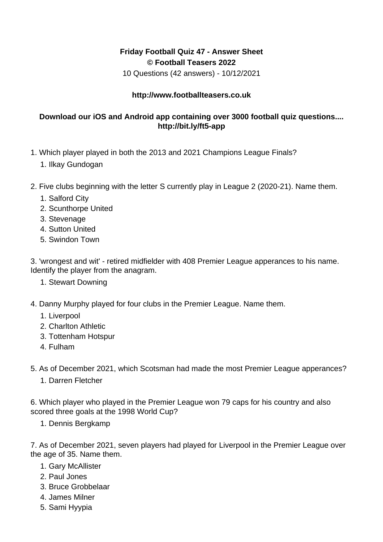## **Friday Football Quiz 47 - Answer Sheet © Football Teasers 2022**

10 Questions (42 answers) - 10/12/2021

## **http://www.footballteasers.co.uk**

## **Download our iOS and Android app containing over 3000 football quiz questions.... http://bit.ly/ft5-app**

- 1. Which player played in both the 2013 and 2021 Champions League Finals?
	- 1. Ilkay Gundogan
- 2. Five clubs beginning with the letter S currently play in League 2 (2020-21). Name them.
	- 1. Salford City
	- 2. Scunthorpe United
	- 3. Stevenage
	- 4. Sutton United
	- 5. Swindon Town

3. 'wrongest and wit' - retired midfielder with 408 Premier League apperances to his name. Identify the player from the anagram.

- 1. Stewart Downing
- 4. Danny Murphy played for four clubs in the Premier League. Name them.
	- 1. Liverpool
	- 2. Charlton Athletic
	- 3. Tottenham Hotspur
	- 4. Fulham

5. As of December 2021, which Scotsman had made the most Premier League apperances?

1. Darren Fletcher

6. Which player who played in the Premier League won 79 caps for his country and also scored three goals at the 1998 World Cup?

1. Dennis Bergkamp

7. As of December 2021, seven players had played for Liverpool in the Premier League over the age of 35. Name them.

- 1. Gary McAllister
- 2. Paul Jones
- 3. Bruce Grobbelaar
- 4. James Milner
- 5. Sami Hyypia